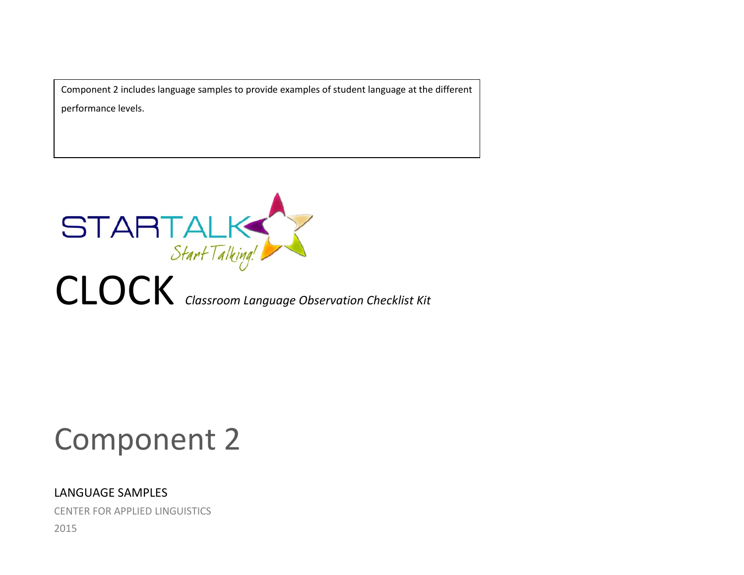Component 2 includes language samples to provide examples of student language at the different performance levels.



# Component 2

## LANGUAGE SAMPLES

CENTER FOR APPLIED LINGUISTICS

2015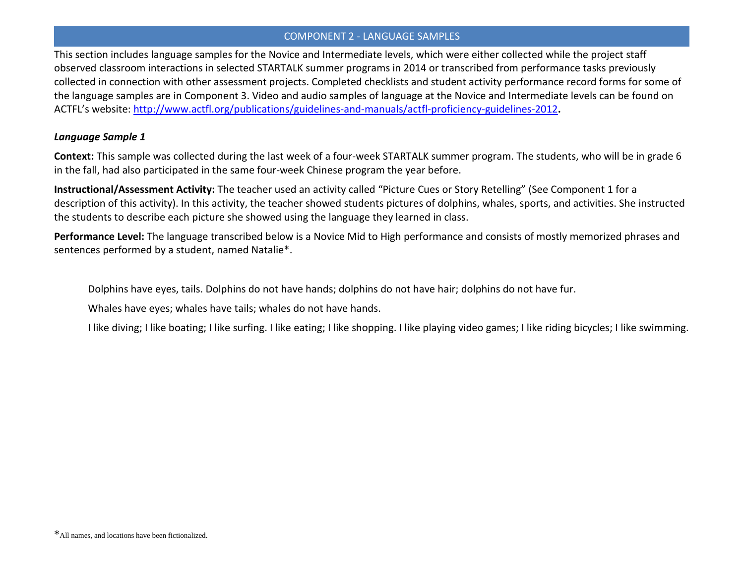This section includes language samples for the Novice and Intermediate levels, which were either collected while the project staff observed classroom interactions in selected STARTALK summer programs in 2014 or transcribed from performance tasks previously collected in connection with other assessment projects. Completed checklists and student activity performance record forms for some of the language samples are in Component 3. Video and audio samples of language at the Novice and Intermediate levels can be found on ACTFL's website: <http://www.actfl.org/publications/guidelines-and-manuals/actfl-proficiency-guidelines-2012>**.** 

## *Language Sample 1*

**Context:** This sample was collected during the last week of a four-week STARTALK summer program. The students, who will be in grade 6 in the fall, had also participated in the same four-week Chinese program the year before.

**Instructional/Assessment Activity:** The teacher used an activity called "Picture Cues or Story Retelling" (See Component 1 for a description of this activity). In this activity, the teacher showed students pictures of dolphins, whales, sports, and activities. She instructed the students to describe each picture she showed using the language they learned in class.

**Performance Level:** The language transcribed below is a Novice Mid to High performance and consists of mostly memorized phrases and sentences performed by a student, named Natalie\*.

Dolphins have eyes, tails. Dolphins do not have hands; dolphins do not have hair; dolphins do not have fur.

Whales have eyes; whales have tails; whales do not have hands.

I like diving; I like boating; I like surfing. I like eating; I like shopping. I like playing video games; I like riding bicycles; I like swimming.

<sup>\*</sup>All names, and locations have been fictionalized.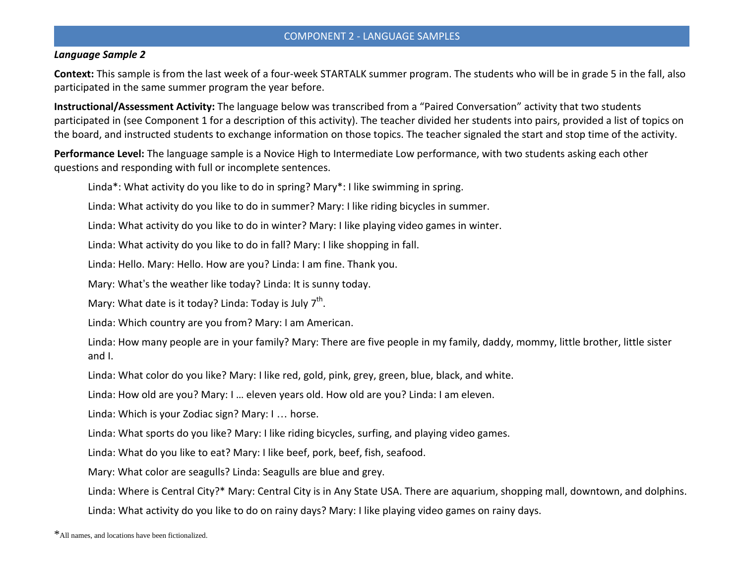#### *Language Sample 2*

**Context:** This sample is from the last week of a four-week STARTALK summer program. The students who will be in grade 5 in the fall, also participated in the same summer program the year before.

**Instructional/Assessment Activity:** The language below was transcribed from a "Paired Conversation" activity that two students participated in (see Component 1 for a description of this activity). The teacher divided her students into pairs, provided a list of topics on the board, and instructed students to exchange information on those topics. The teacher signaled the start and stop time of the activity.

**Performance Level:** The language sample is a Novice High to Intermediate Low performance, with two students asking each other questions and responding with full or incomplete sentences.

Linda\*: What activity do you like to do in spring? Mary\*: I like swimming in spring.

Linda: What activity do you like to do in summer? Mary: I like riding bicycles in summer.

Linda: What activity do you like to do in winter? Mary: I like playing video games in winter.

Linda: What activity do you like to do in fall? Mary: I like shopping in fall.

Linda: Hello. Mary: Hello. How are you? Linda: I am fine. Thank you.

Mary: What's the weather like today? Linda: It is sunny today.

Mary: What date is it today? Linda: Today is July  $7<sup>th</sup>$ .

Linda: Which country are you from? Mary: I am American.

Linda: How many people are in your family? Mary: There are five people in my family, daddy, mommy, little brother, little sister and I.

Linda: What color do you like? Mary: I like red, gold, pink, grey, green, blue, black, and white.

Linda: How old are you? Mary: I … eleven years old. How old are you? Linda: I am eleven.

Linda: Which is your Zodiac sign? Mary: I … horse.

Linda: What sports do you like? Mary: I like riding bicycles, surfing, and playing video games.

Linda: What do you like to eat? Mary: I like beef, pork, beef, fish, seafood.

Mary: What color are seagulls? Linda: Seagulls are blue and grey.

Linda: Where is Central City?\* Mary: Central City is in Any State USA. There are aquarium, shopping mall, downtown, and dolphins.

Linda: What activity do you like to do on rainy days? Mary: I like playing video games on rainy days.

<sup>\*</sup>All names, and locations have been fictionalized.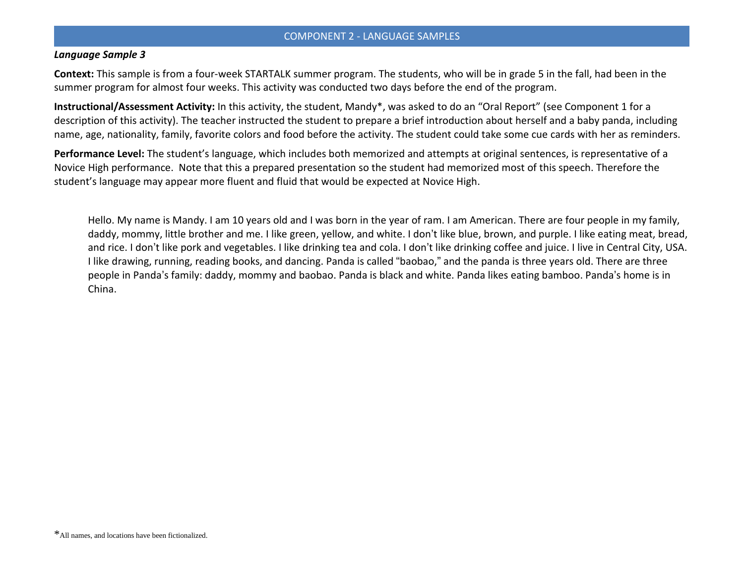#### *Language Sample 3*

**Context:** This sample is from a four-week STARTALK summer program. The students, who will be in grade 5 in the fall, had been in the summer program for almost four weeks. This activity was conducted two days before the end of the program.

**Instructional/Assessment Activity:** In this activity, the student, Mandy\*, was asked to do an "Oral Report" (see Component 1 for a description of this activity). The teacher instructed the student to prepare a brief introduction about herself and a baby panda, including name, age, nationality, family, favorite colors and food before the activity. The student could take some cue cards with her as reminders.

**Performance Level:** The student's language, which includes both memorized and attempts at original sentences, is representative of a Novice High performance. Note that this a prepared presentation so the student had memorized most of this speech. Therefore the student's language may appear more fluent and fluid that would be expected at Novice High.

Hello. My name is Mandy. I am 10 years old and I was born in the year of ram. I am American. There are four people in my family, daddy, mommy, little brother and me. I like green, yellow, and white. I don't like blue, brown, and purple. I like eating meat, bread, and rice. I don't like pork and vegetables. I like drinking tea and cola. I don't like drinking coffee and juice. I live in Central City, USA. I like drawing, running, reading books, and dancing. Panda is called "baobao," and the panda is three years old. There are three people in Panda's family: daddy, mommy and baobao. Panda is black and white. Panda likes eating bamboo. Panda's home is in China.

<sup>\*</sup>All names, and locations have been fictionalized.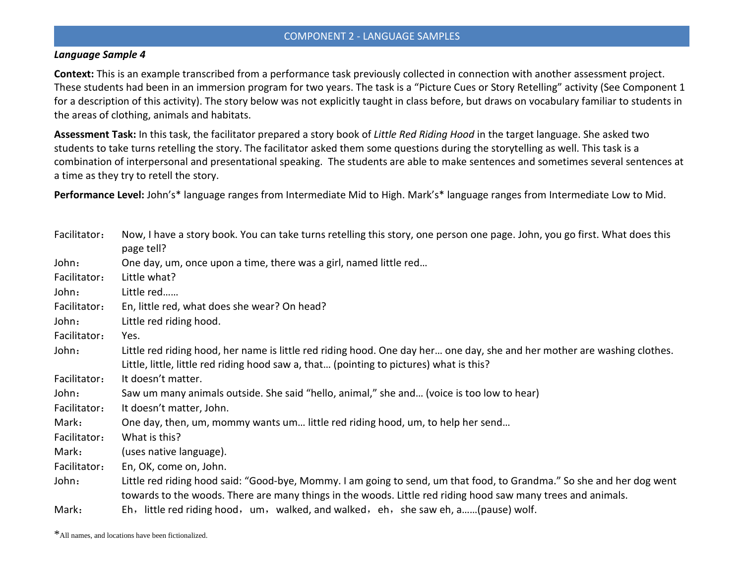#### *Language Sample 4*

**Context:** This is an example transcribed from a performance task previously collected in connection with another assessment project. These students had been in an immersion program for two years. The task is a "Picture Cues or Story Retelling" activity (See Component 1 for a description of this activity). The story below was not explicitly taught in class before, but draws on vocabulary familiar to students in the areas of clothing, animals and habitats.

**Assessment Task:** In this task, the facilitator prepared a story book of *Little Red Riding Hood* in the target language. She asked two students to take turns retelling the story. The facilitator asked them some questions during the storytelling as well. This task is a combination of interpersonal and presentational speaking. The students are able to make sentences and sometimes several sentences at a time as they try to retell the story.

**Performance Level:** John's\* language ranges from Intermediate Mid to High. Mark's\* language ranges from Intermediate Low to Mid.

| Facilitator: | Now, I have a story book. You can take turns retelling this story, one person one page. John, you go first. What does this<br>page tell?                                                                                              |
|--------------|---------------------------------------------------------------------------------------------------------------------------------------------------------------------------------------------------------------------------------------|
| John:        | One day, um, once upon a time, there was a girl, named little red                                                                                                                                                                     |
| Facilitator: | Little what?                                                                                                                                                                                                                          |
| John:        | Little red                                                                                                                                                                                                                            |
| Facilitator: | En, little red, what does she wear? On head?                                                                                                                                                                                          |
| John:        | Little red riding hood.                                                                                                                                                                                                               |
| Facilitator: | Yes.                                                                                                                                                                                                                                  |
| John:        | Little red riding hood, her name is little red riding hood. One day her one day, she and her mother are washing clothes.<br>Little, little, little red riding hood saw a, that (pointing to pictures) what is this?                   |
| Facilitator: | It doesn't matter.                                                                                                                                                                                                                    |
| John:        | Saw um many animals outside. She said "hello, animal," she and (voice is too low to hear)                                                                                                                                             |
| Facilitator: | It doesn't matter, John.                                                                                                                                                                                                              |
| Mark:        | One day, then, um, mommy wants um little red riding hood, um, to help her send                                                                                                                                                        |
| Facilitator: | What is this?                                                                                                                                                                                                                         |
| Mark:        | (uses native language).                                                                                                                                                                                                               |
| Facilitator: | En, OK, come on, John.                                                                                                                                                                                                                |
| John:        | Little red riding hood said: "Good-bye, Mommy. I am going to send, um that food, to Grandma." So she and her dog went<br>towards to the woods. There are many things in the woods. Little red riding hood saw many trees and animals. |
| Mark:        | Eh, little red riding hood, um, walked, and walked, eh, she saw eh, a(pause) wolf.                                                                                                                                                    |

\*All names, and locations have been fictionalized.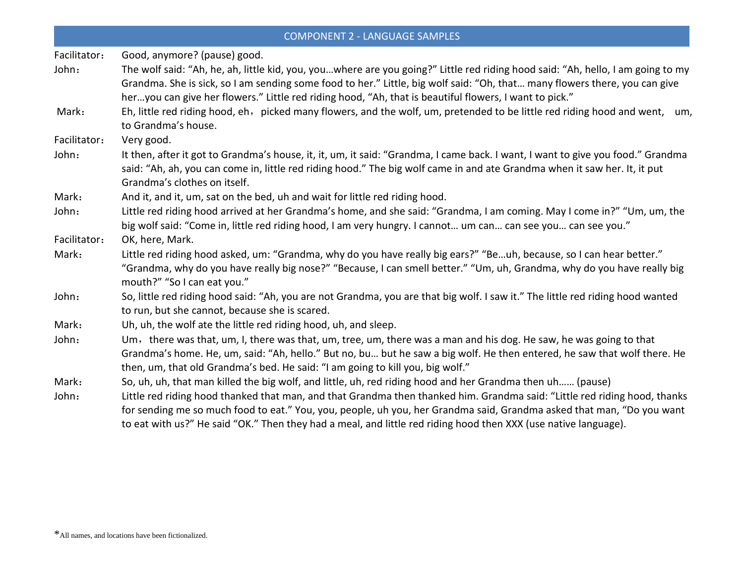| <b>COMPONENT 2 - LANGUAGE SAMPLES</b> |                                                                                                                                                                                                                                                                                                                                                                         |  |
|---------------------------------------|-------------------------------------------------------------------------------------------------------------------------------------------------------------------------------------------------------------------------------------------------------------------------------------------------------------------------------------------------------------------------|--|
| Facilitator:                          | Good, anymore? (pause) good.                                                                                                                                                                                                                                                                                                                                            |  |
| John:                                 | The wolf said: "Ah, he, ah, little kid, you, youwhere are you going?" Little red riding hood said: "Ah, hello, I am going to my<br>Grandma. She is sick, so I am sending some food to her." Little, big wolf said: "Oh, that many flowers there, you can give<br>heryou can give her flowers." Little red riding hood, "Ah, that is beautiful flowers, I want to pick." |  |
| Mark:                                 | Eh, little red riding hood, eh, picked many flowers, and the wolf, um, pretended to be little red riding hood and went, um,<br>to Grandma's house.                                                                                                                                                                                                                      |  |
| Facilitator:                          | Very good.                                                                                                                                                                                                                                                                                                                                                              |  |
| John:                                 | It then, after it got to Grandma's house, it, it, um, it said: "Grandma, I came back. I want, I want to give you food." Grandma<br>said: "Ah, ah, you can come in, little red riding hood." The big wolf came in and ate Grandma when it saw her. It, it put<br>Grandma's clothes on itself.                                                                            |  |
| Mark:                                 | And it, and it, um, sat on the bed, uh and wait for little red riding hood.                                                                                                                                                                                                                                                                                             |  |
| John:                                 | Little red riding hood arrived at her Grandma's home, and she said: "Grandma, I am coming. May I come in?" "Um, um, the<br>big wolf said: "Come in, little red riding hood, I am very hungry. I cannot um can can see you can see you."                                                                                                                                 |  |
| Facilitator:                          | OK, here, Mark.                                                                                                                                                                                                                                                                                                                                                         |  |
| Mark:                                 | Little red riding hood asked, um: "Grandma, why do you have really big ears?" "Beuh, because, so I can hear better."<br>"Grandma, why do you have really big nose?" "Because, I can smell better." "Um, uh, Grandma, why do you have really big<br>mouth?" "So I can eat you."                                                                                          |  |
| John:                                 | So, little red riding hood said: "Ah, you are not Grandma, you are that big wolf. I saw it." The little red riding hood wanted<br>to run, but she cannot, because she is scared.                                                                                                                                                                                        |  |
| Mark:                                 | Uh, uh, the wolf ate the little red riding hood, uh, and sleep.                                                                                                                                                                                                                                                                                                         |  |
| John:                                 | Um, there was that, um, I, there was that, um, tree, um, there was a man and his dog. He saw, he was going to that<br>Grandma's home. He, um, said: "Ah, hello." But no, bu but he saw a big wolf. He then entered, he saw that wolf there. He<br>then, um, that old Grandma's bed. He said: "I am going to kill you, big wolf."                                        |  |
| Mark:                                 | So, uh, uh, that man killed the big wolf, and little, uh, red riding hood and her Grandma then uh (pause)                                                                                                                                                                                                                                                               |  |
| John:                                 | Little red riding hood thanked that man, and that Grandma then thanked him. Grandma said: "Little red riding hood, thanks<br>for sending me so much food to eat." You, you, people, uh you, her Grandma said, Grandma asked that man, "Do you want<br>to eat with us?" He said "OK." Then they had a meal, and little red riding hood then XXX (use native language).   |  |

<sup>\*</sup>All names, and locations have been fictionalized.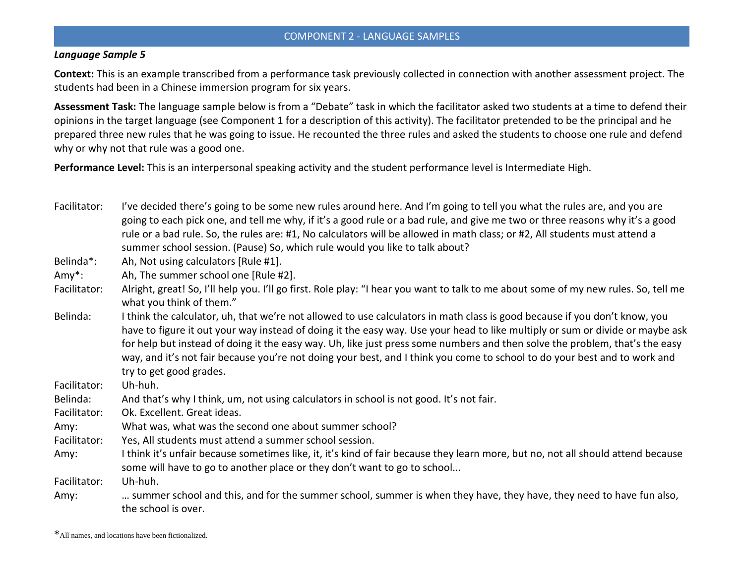#### *Language Sample 5*

**Context:** This is an example transcribed from a performance task previously collected in connection with another assessment project. The students had been in a Chinese immersion program for six years.

**Assessment Task:** The language sample below is from a "Debate" task in which the facilitator asked two students at a time to defend their opinions in the target language (see Component 1 for a description of this activity). The facilitator pretended to be the principal and he prepared three new rules that he was going to issue. He recounted the three rules and asked the students to choose one rule and defend why or why not that rule was a good one.

**Performance Level:** This is an interpersonal speaking activity and the student performance level is Intermediate High.

Facilitator: I've decided there's going to be some new rules around here. And I'm going to tell you what the rules are, and you are going to each pick one, and tell me why, if it's a good rule or a bad rule, and give me two or three reasons why it's a good rule or a bad rule. So, the rules are: #1, No calculators will be allowed in math class; or #2, All students must attend a summer school session. (Pause) So, which rule would you like to talk about?

Belinda\*: Ah, Not using calculators [Rule #1].

Amy\*: Ah, The summer school one [Rule #2].

- Facilitator: Alright, great! So, I'll help you. I'll go first. Role play: "I hear you want to talk to me about some of my new rules. So, tell me what you think of them."
- Belinda: I think the calculator, uh, that we're not allowed to use calculators in math class is good because if you don't know, you have to figure it out your way instead of doing it the easy way. Use your head to like multiply or sum or divide or maybe ask for help but instead of doing it the easy way. Uh, like just press some numbers and then solve the problem, that's the easy way, and it's not fair because you're not doing your best, and I think you come to school to do your best and to work and try to get good grades.

Facilitator: Uh-huh.

Belinda: And that's why I think, um, not using calculators in school is not good. It's not fair.

Facilitator: Ok. Excellent. Great ideas.

Amy: What was, what was the second one about summer school?

Facilitator: Yes, All students must attend a summer school session.

Amy: I think it's unfair because sometimes like, it, it's kind of fair because they learn more, but no, not all should attend because some will have to go to another place or they don't want to go to school...

Facilitator: Uh-huh.

Amy: … summer school and this, and for the summer school, summer is when they have, they have, they need to have fun also, the school is over.

<sup>\*</sup>All names, and locations have been fictionalized.